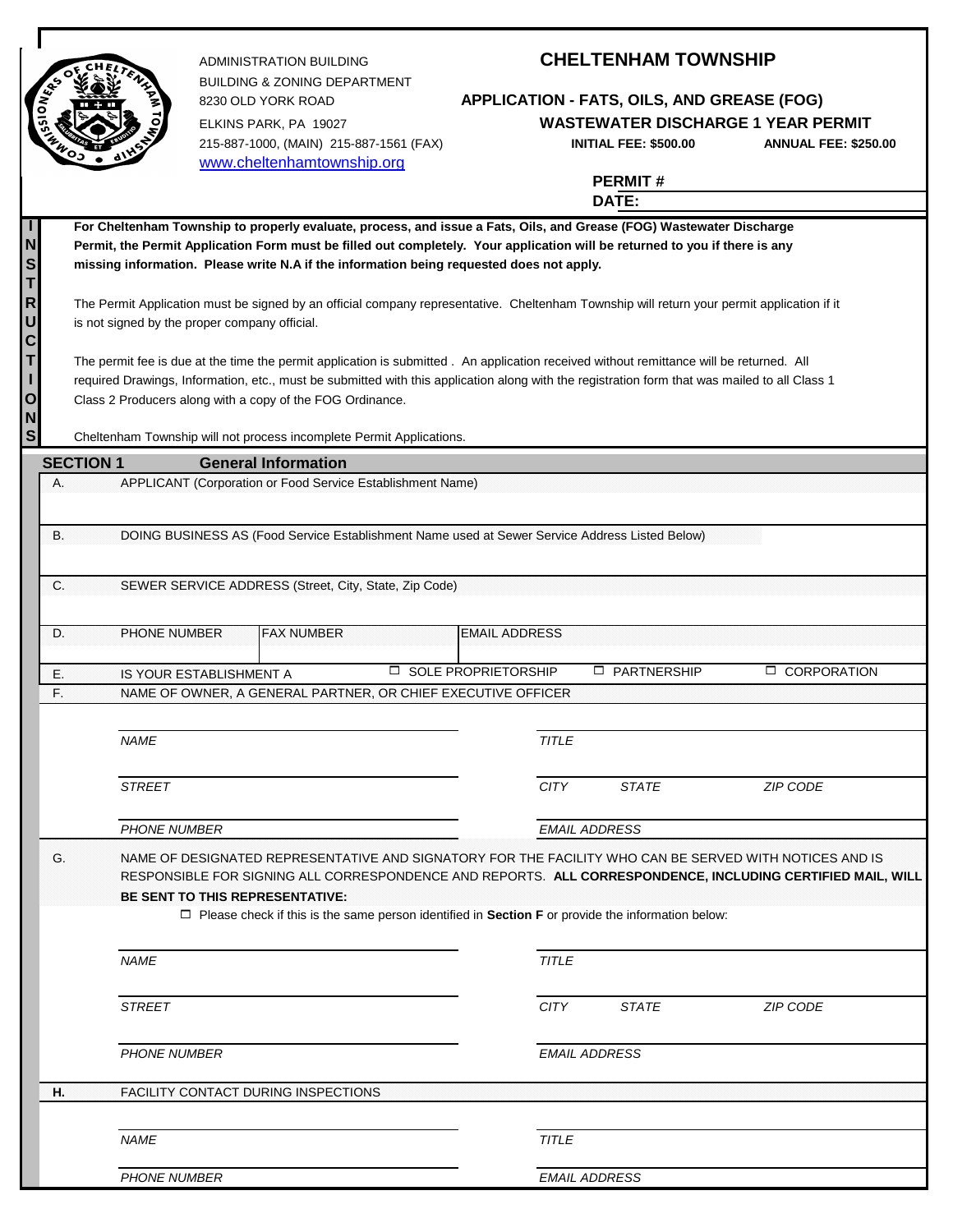

BUILDING & ZONING DEPARTMENT ELKINS PARK, PA 19027 **WASTEWATER DISCHARGE 1 YEAR PERMIT** 215-887-1000, (MAIN) 215-887-1561 (FAX) **INITIAL FEE: \$500.00 ANNUAL FEE: \$250.00** [www.cheltenhamtownship.org](http://www.cheltenhamtownship.org/)

## ADMINISTRATION BUILDING **CHELTENHAM TOWNSHIP**

8230 OLD YORK ROAD **APPLICATION - FATS, OILS, AND GREASE (FOG)**

**PERMIT #**

**DATE:**

|                                                                                                            |                                                                                                                                               |                                                                                                                                            | UAIC.                |                      |  |  |  |  |  |
|------------------------------------------------------------------------------------------------------------|-----------------------------------------------------------------------------------------------------------------------------------------------|--------------------------------------------------------------------------------------------------------------------------------------------|----------------------|----------------------|--|--|--|--|--|
|                                                                                                            | For Cheltenham Township to properly evaluate, process, and issue a Fats, Oils, and Grease (FOG) Wastewater Discharge                          |                                                                                                                                            |                      |                      |  |  |  |  |  |
| N                                                                                                          | Permit, the Permit Application Form must be filled out completely. Your application will be returned to you if there is any                   |                                                                                                                                            |                      |                      |  |  |  |  |  |
| S                                                                                                          | missing information. Please write N.A if the information being requested does not apply.                                                      |                                                                                                                                            |                      |                      |  |  |  |  |  |
| Τ                                                                                                          |                                                                                                                                               |                                                                                                                                            |                      |                      |  |  |  |  |  |
| $\mathsf{R}$                                                                                               |                                                                                                                                               | The Permit Application must be signed by an official company representative. Cheltenham Township will return your permit application if it |                      |                      |  |  |  |  |  |
| U                                                                                                          | is not signed by the proper company official.                                                                                                 |                                                                                                                                            |                      |                      |  |  |  |  |  |
| C                                                                                                          |                                                                                                                                               |                                                                                                                                            |                      |                      |  |  |  |  |  |
| T                                                                                                          | The permit fee is due at the time the permit application is submitted. An application received without remittance will be returned. All       |                                                                                                                                            |                      |                      |  |  |  |  |  |
| L                                                                                                          | required Drawings, Information, etc., must be submitted with this application along with the registration form that was mailed to all Class 1 |                                                                                                                                            |                      |                      |  |  |  |  |  |
| O                                                                                                          | Class 2 Producers along with a copy of the FOG Ordinance.                                                                                     |                                                                                                                                            |                      |                      |  |  |  |  |  |
| N                                                                                                          |                                                                                                                                               |                                                                                                                                            |                      |                      |  |  |  |  |  |
| S                                                                                                          | Cheltenham Township will not process incomplete Permit Applications.                                                                          |                                                                                                                                            |                      |                      |  |  |  |  |  |
|                                                                                                            | <b>SECTION 1</b><br><b>General Information</b>                                                                                                |                                                                                                                                            |                      |                      |  |  |  |  |  |
|                                                                                                            | A.<br>APPLICANT (Corporation or Food Service Establishment Name)                                                                              |                                                                                                                                            |                      |                      |  |  |  |  |  |
|                                                                                                            |                                                                                                                                               |                                                                                                                                            |                      |                      |  |  |  |  |  |
|                                                                                                            |                                                                                                                                               |                                                                                                                                            |                      |                      |  |  |  |  |  |
|                                                                                                            | В.<br>DOING BUSINESS AS (Food Service Establishment Name used at Sewer Service Address Listed Below)                                          |                                                                                                                                            |                      |                      |  |  |  |  |  |
|                                                                                                            |                                                                                                                                               |                                                                                                                                            |                      |                      |  |  |  |  |  |
|                                                                                                            |                                                                                                                                               |                                                                                                                                            |                      |                      |  |  |  |  |  |
|                                                                                                            | C.<br>SEWER SERVICE ADDRESS (Street, City, State, Zip Code)                                                                                   |                                                                                                                                            |                      |                      |  |  |  |  |  |
|                                                                                                            |                                                                                                                                               |                                                                                                                                            |                      |                      |  |  |  |  |  |
|                                                                                                            | <b>PHONE NUMBER</b><br><b>FAX NUMBER</b><br>D.                                                                                                | <b>EMAIL ADDRESS</b>                                                                                                                       |                      |                      |  |  |  |  |  |
|                                                                                                            |                                                                                                                                               |                                                                                                                                            |                      |                      |  |  |  |  |  |
|                                                                                                            | IS YOUR ESTABLISHMENT A<br>E.                                                                                                                 | □ SOLE PROPRIETORSHIP                                                                                                                      | <b>D</b> PARTNERSHIP | <b>D</b> CORPORATION |  |  |  |  |  |
|                                                                                                            | F.<br>NAME OF OWNER, A GENERAL PARTNER, OR CHIEF EXECUTIVE OFFICER                                                                            |                                                                                                                                            |                      |                      |  |  |  |  |  |
|                                                                                                            |                                                                                                                                               |                                                                                                                                            |                      |                      |  |  |  |  |  |
|                                                                                                            |                                                                                                                                               |                                                                                                                                            |                      |                      |  |  |  |  |  |
|                                                                                                            | <b>NAME</b>                                                                                                                                   | <b>TITLE</b>                                                                                                                               |                      |                      |  |  |  |  |  |
|                                                                                                            |                                                                                                                                               |                                                                                                                                            |                      |                      |  |  |  |  |  |
|                                                                                                            | <b>STREET</b>                                                                                                                                 | <b>CITY</b>                                                                                                                                | <b>STATE</b>         | <b>ZIP CODE</b>      |  |  |  |  |  |
|                                                                                                            |                                                                                                                                               |                                                                                                                                            |                      |                      |  |  |  |  |  |
|                                                                                                            | <b>PHONE NUMBER</b>                                                                                                                           | <b>EMAIL ADDRESS</b>                                                                                                                       |                      |                      |  |  |  |  |  |
|                                                                                                            |                                                                                                                                               |                                                                                                                                            |                      |                      |  |  |  |  |  |
|                                                                                                            | G.<br>NAME OF DESIGNATED REPRESENTATIVE AND SIGNATORY FOR THE FACILITY WHO CAN BE SERVED WITH NOTICES AND IS                                  |                                                                                                                                            |                      |                      |  |  |  |  |  |
| RESPONSIBLE FOR SIGNING ALL CORRESPONDENCE AND REPORTS. ALL CORRESPONDENCE, INCLUDING CERTIFIED MAIL, WILL |                                                                                                                                               |                                                                                                                                            |                      |                      |  |  |  |  |  |
|                                                                                                            | <b>BE SENT TO THIS REPRESENTATIVE:</b>                                                                                                        |                                                                                                                                            |                      |                      |  |  |  |  |  |
|                                                                                                            | $\Box$ Please check if this is the same person identified in Section F or provide the information below:                                      |                                                                                                                                            |                      |                      |  |  |  |  |  |
|                                                                                                            |                                                                                                                                               |                                                                                                                                            |                      |                      |  |  |  |  |  |
|                                                                                                            | <b>NAME</b>                                                                                                                                   | <b>TITLE</b>                                                                                                                               |                      |                      |  |  |  |  |  |
|                                                                                                            |                                                                                                                                               |                                                                                                                                            |                      |                      |  |  |  |  |  |
|                                                                                                            | <b>STREET</b>                                                                                                                                 | <b>CITY</b>                                                                                                                                | <b>STATE</b>         | ZIP CODE             |  |  |  |  |  |
|                                                                                                            |                                                                                                                                               |                                                                                                                                            |                      |                      |  |  |  |  |  |
|                                                                                                            |                                                                                                                                               |                                                                                                                                            |                      |                      |  |  |  |  |  |
|                                                                                                            | <b>PHONE NUMBER</b>                                                                                                                           | <b>EMAIL ADDRESS</b>                                                                                                                       |                      |                      |  |  |  |  |  |
|                                                                                                            |                                                                                                                                               |                                                                                                                                            |                      |                      |  |  |  |  |  |
|                                                                                                            | Н.<br>FACILITY CONTACT DURING INSPECTIONS                                                                                                     |                                                                                                                                            |                      |                      |  |  |  |  |  |
|                                                                                                            |                                                                                                                                               |                                                                                                                                            |                      |                      |  |  |  |  |  |
|                                                                                                            | <b>NAME</b>                                                                                                                                   | <b>TITLE</b>                                                                                                                               |                      |                      |  |  |  |  |  |
|                                                                                                            |                                                                                                                                               |                                                                                                                                            |                      |                      |  |  |  |  |  |
|                                                                                                            | PHONE NUMBER<br><b>EMAIL ADDRESS</b>                                                                                                          |                                                                                                                                            |                      |                      |  |  |  |  |  |
|                                                                                                            |                                                                                                                                               |                                                                                                                                            |                      |                      |  |  |  |  |  |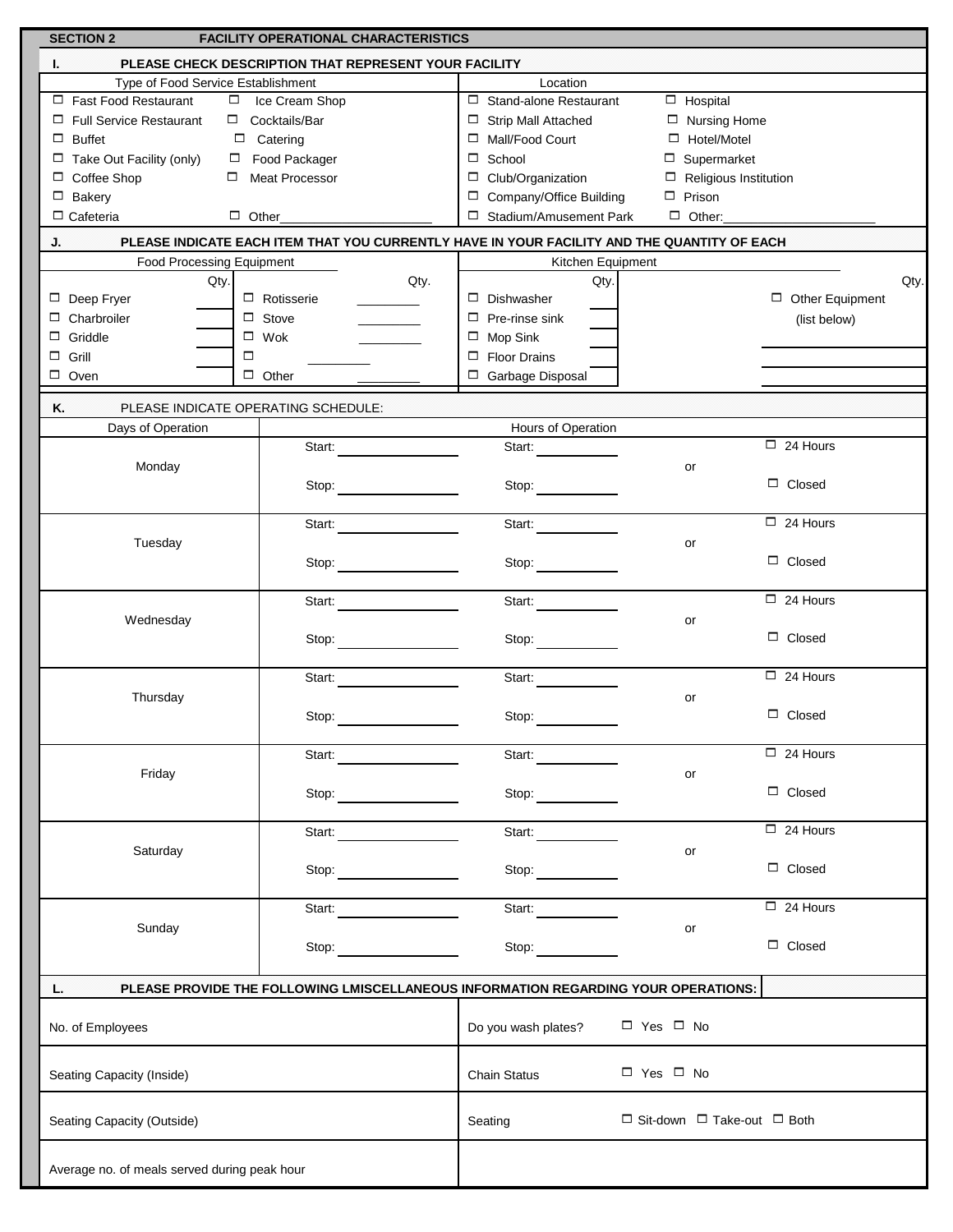| <b>SECTION 2</b><br><b>FACILITY OPERATIONAL CHARACTERISTICS</b> |                                                                                                                                                                                                                                                                    |                                                                                             |                                             |  |  |  |  |  |
|-----------------------------------------------------------------|--------------------------------------------------------------------------------------------------------------------------------------------------------------------------------------------------------------------------------------------------------------------|---------------------------------------------------------------------------------------------|---------------------------------------------|--|--|--|--|--|
| L                                                               | PLEASE CHECK DESCRIPTION THAT REPRESENT YOUR FACILITY                                                                                                                                                                                                              |                                                                                             |                                             |  |  |  |  |  |
| Type of Food Service Establishment                              |                                                                                                                                                                                                                                                                    | Location                                                                                    |                                             |  |  |  |  |  |
| Fast Food Restaurant                                            | □ Ice Cream Shop                                                                                                                                                                                                                                                   | □ Stand-alone Restaurant<br>$\Box$ Hospital                                                 |                                             |  |  |  |  |  |
| Full Service Restaurant                                         | $\Box$ Cocktails/Bar                                                                                                                                                                                                                                               | $\Box$ Strip Mall Attached<br>$\Box$ Nursing Home                                           |                                             |  |  |  |  |  |
| $\Box$ Buffet                                                   | $\Box$ Catering                                                                                                                                                                                                                                                    | □ Mall/Food Court                                                                           | □ Hotel/Motel                               |  |  |  |  |  |
| $\Box$ Take Out Facility (only)                                 | Food Packager                                                                                                                                                                                                                                                      | $\Box$ School<br>$\Box$ Supermarket                                                         |                                             |  |  |  |  |  |
| □ Coffee Shop                                                   | $\Box$ Meat Processor                                                                                                                                                                                                                                              | $\Box$ Club/Organization<br>$\Box$ Religious Institution                                    |                                             |  |  |  |  |  |
| $\Box$ Bakery                                                   |                                                                                                                                                                                                                                                                    | □ Company/Office Building<br>$\Box$ Prison                                                  |                                             |  |  |  |  |  |
| $\Box$ Cafeteria                                                |                                                                                                                                                                                                                                                                    | □ Stadium/Amusement Park                                                                    |                                             |  |  |  |  |  |
| J.                                                              |                                                                                                                                                                                                                                                                    | PLEASE INDICATE EACH ITEM THAT YOU CURRENTLY HAVE IN YOUR FACILITY AND THE QUANTITY OF EACH |                                             |  |  |  |  |  |
| Food Processing Equipment                                       |                                                                                                                                                                                                                                                                    | Kitchen Equipment                                                                           |                                             |  |  |  |  |  |
| Qty.                                                            | Qty.                                                                                                                                                                                                                                                               | Qty.                                                                                        | Qty.                                        |  |  |  |  |  |
| Deep Fryer                                                      | $\Box$ Rotisserie                                                                                                                                                                                                                                                  | $\Box$ Dishwasher                                                                           | $\Box$ Other Equipment                      |  |  |  |  |  |
| Charbroiler<br>□                                                | $\Box$ Stove                                                                                                                                                                                                                                                       | $\Box$ Pre-rinse sink                                                                       | (list below)                                |  |  |  |  |  |
| Griddle<br>□                                                    | $\square$ Wok                                                                                                                                                                                                                                                      | $\Box$ Mop Sink                                                                             |                                             |  |  |  |  |  |
| Grill<br>$\Box$<br>□                                            |                                                                                                                                                                                                                                                                    | $\Box$ Floor Drains                                                                         |                                             |  |  |  |  |  |
| $\Box$ Oven                                                     | $\Box$ Other                                                                                                                                                                                                                                                       | □ Garbage Disposal                                                                          |                                             |  |  |  |  |  |
|                                                                 |                                                                                                                                                                                                                                                                    |                                                                                             |                                             |  |  |  |  |  |
| Κ.<br>PLEASE INDICATE OPERATING SCHEDULE:                       |                                                                                                                                                                                                                                                                    |                                                                                             |                                             |  |  |  |  |  |
| Days of Operation                                               |                                                                                                                                                                                                                                                                    | Hours of Operation                                                                          |                                             |  |  |  |  |  |
|                                                                 | Start:                                                                                                                                                                                                                                                             | Start:                                                                                      | $\Box$ 24 Hours                             |  |  |  |  |  |
| Monday                                                          |                                                                                                                                                                                                                                                                    |                                                                                             | or                                          |  |  |  |  |  |
|                                                                 | Stop: $\qquad \qquad \qquad$                                                                                                                                                                                                                                       | Stop:                                                                                       | $\Box$ Closed                               |  |  |  |  |  |
|                                                                 |                                                                                                                                                                                                                                                                    |                                                                                             |                                             |  |  |  |  |  |
|                                                                 | Start:                                                                                                                                                                                                                                                             | Start:                                                                                      | $\Box$ 24 Hours                             |  |  |  |  |  |
| Tuesday                                                         |                                                                                                                                                                                                                                                                    |                                                                                             | or                                          |  |  |  |  |  |
|                                                                 | Stop: $\qquad \qquad$                                                                                                                                                                                                                                              | Stop:                                                                                       | $\Box$ Closed                               |  |  |  |  |  |
|                                                                 |                                                                                                                                                                                                                                                                    |                                                                                             |                                             |  |  |  |  |  |
|                                                                 | Start:                                                                                                                                                                                                                                                             | Start:                                                                                      | $\Box$ 24 Hours                             |  |  |  |  |  |
| Wednesday                                                       |                                                                                                                                                                                                                                                                    |                                                                                             | or                                          |  |  |  |  |  |
|                                                                 |                                                                                                                                                                                                                                                                    |                                                                                             | $\Box$ Closed                               |  |  |  |  |  |
|                                                                 |                                                                                                                                                                                                                                                                    |                                                                                             |                                             |  |  |  |  |  |
|                                                                 | Start:                                                                                                                                                                                                                                                             | Start:                                                                                      | $\Box$ 24 Hours                             |  |  |  |  |  |
| Thursday                                                        |                                                                                                                                                                                                                                                                    |                                                                                             | or<br>$\Box$ Closed                         |  |  |  |  |  |
|                                                                 | Stop:                                                                                                                                                                                                                                                              | Stop:                                                                                       |                                             |  |  |  |  |  |
|                                                                 |                                                                                                                                                                                                                                                                    |                                                                                             | $\Box$ 24 Hours                             |  |  |  |  |  |
|                                                                 | Start: <b>Start:</b> Start: <b>Start:</b> Start: <b>Start:</b> Start: <b>Start:</b> Start: <b>Start:</b> Start: <b>Start:</b> Start: <b>Start: Start: Start: Start: Start: Start: Start: Start: Start: Start: Start: Start: Start: Start: Start: Start: Start:</b> | Start: <b>Start:</b>                                                                        |                                             |  |  |  |  |  |
| Friday                                                          |                                                                                                                                                                                                                                                                    |                                                                                             | or<br>$\Box$ Closed                         |  |  |  |  |  |
|                                                                 | Stop:                                                                                                                                                                                                                                                              | Stop:                                                                                       |                                             |  |  |  |  |  |
|                                                                 | Start: <b>Start:</b>                                                                                                                                                                                                                                               |                                                                                             | $\Box$ 24 Hours                             |  |  |  |  |  |
| Saturday                                                        |                                                                                                                                                                                                                                                                    | Start:                                                                                      | or                                          |  |  |  |  |  |
|                                                                 |                                                                                                                                                                                                                                                                    | Stop:                                                                                       | $\Box$ Closed                               |  |  |  |  |  |
|                                                                 |                                                                                                                                                                                                                                                                    |                                                                                             |                                             |  |  |  |  |  |
|                                                                 | Start:                                                                                                                                                                                                                                                             | Start:                                                                                      | $\Box$ 24 Hours                             |  |  |  |  |  |
| Sunday                                                          |                                                                                                                                                                                                                                                                    |                                                                                             | or                                          |  |  |  |  |  |
|                                                                 | Stop:                                                                                                                                                                                                                                                              | Stop: $\qquad \qquad$                                                                       | $\Box$ Closed                               |  |  |  |  |  |
|                                                                 |                                                                                                                                                                                                                                                                    |                                                                                             |                                             |  |  |  |  |  |
| L.                                                              |                                                                                                                                                                                                                                                                    |                                                                                             |                                             |  |  |  |  |  |
|                                                                 | PLEASE PROVIDE THE FOLLOWING LMISCELLANEOUS INFORMATION REGARDING YOUR OPERATIONS:                                                                                                                                                                                 |                                                                                             |                                             |  |  |  |  |  |
| No. of Employees                                                |                                                                                                                                                                                                                                                                    | Do you wash plates?                                                                         | $\Box$ Yes $\Box$ No                        |  |  |  |  |  |
|                                                                 |                                                                                                                                                                                                                                                                    |                                                                                             |                                             |  |  |  |  |  |
|                                                                 |                                                                                                                                                                                                                                                                    |                                                                                             |                                             |  |  |  |  |  |
| Seating Capacity (Inside)                                       |                                                                                                                                                                                                                                                                    |                                                                                             | $\Box$ Yes $\Box$ No                        |  |  |  |  |  |
|                                                                 |                                                                                                                                                                                                                                                                    |                                                                                             |                                             |  |  |  |  |  |
| Seating Capacity (Outside)                                      |                                                                                                                                                                                                                                                                    | Seating                                                                                     | $\Box$ Sit-down $\Box$ Take-out $\Box$ Both |  |  |  |  |  |
|                                                                 |                                                                                                                                                                                                                                                                    |                                                                                             |                                             |  |  |  |  |  |
|                                                                 |                                                                                                                                                                                                                                                                    |                                                                                             |                                             |  |  |  |  |  |
| Average no. of meals served during peak hour                    |                                                                                                                                                                                                                                                                    |                                                                                             |                                             |  |  |  |  |  |